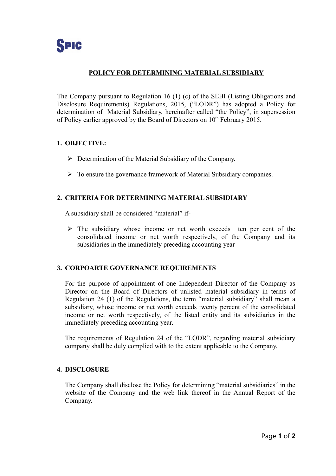# **POLICY FOR DETERMINING MATERIAL SUBSIDIARY**

The Company pursuant to Regulation 16 (1) (c) of the SEBI (Listing Obligations and Disclosure Requirements) Regulations, 2015, ("LODR") has adopted a Policy for determination of Material Subsidiary, hereinafter called "the Policy", in supersession of Policy earlier approved by the Board of Directors on  $10<sup>th</sup>$  February 2015.

## **1. OBJECTIVE:**

- $\triangleright$  Determination of the Material Subsidiary of the Company.
- $\triangleright$  To ensure the governance framework of Material Subsidiary companies.

## **2. CRITERIA FOR DETERMINING MATERIAL SUBSIDIARY**

A subsidiary shall be considered "material" if-

 $\triangleright$  The subsidiary whose income or net worth exceeds ten per cent of the consolidated income or net worth respectively, of the Company and its subsidiaries in the immediately preceding accounting year

## **3. CORPOARTE GOVERNANCE REQUIREMENTS**

For the purpose of appointment of one Independent Director of the Company as Director on the Board of Directors of unlisted material subsidiary in terms of Regulation 24 (1) of the Regulations, the term "material subsidiary" shall mean a subsidiary, whose income or net worth exceeds twenty percent of the consolidated income or net worth respectively, of the listed entity and its subsidiaries in the immediately preceding accounting year.

The requirements of Regulation 24 of the "LODR", regarding material subsidiary company shall be duly complied with to the extent applicable to the Company.

## **4. DISCLOSURE**

The Company shall disclose the Policy for determining "material subsidiaries" in the website of the Company and the web link thereof in the Annual Report of the Company.